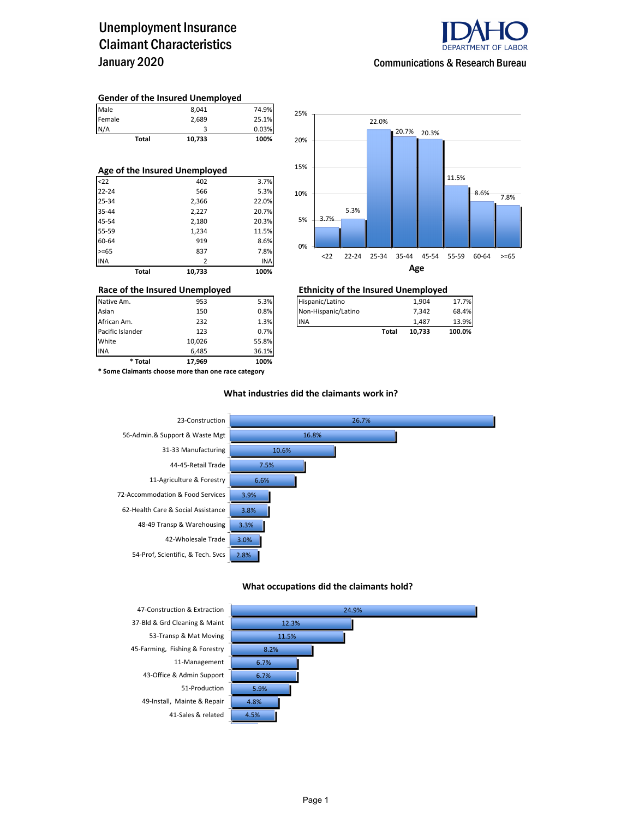### Unemployment Insurance Claimant Characteristics January 2020



#### **Gender of the Insured Unemployed**

| Total  | 10,733 | 100%  |
|--------|--------|-------|
| N/A    |        | 0.03% |
| Female | 2,689  | 25.1% |
| Male   | 8,041  | 74.9% |

| Age of the Insured Unemployed |                 |       |  |  |  |  |  |
|-------------------------------|-----------------|-------|--|--|--|--|--|
| $22$                          | 402             | 3.7%  |  |  |  |  |  |
| $22 - 24$                     | 566             | 5.3%  |  |  |  |  |  |
| 25-34                         | 2,366           | 22.0% |  |  |  |  |  |
| 35-44                         | 2,227           | 20.7% |  |  |  |  |  |
| 45-54                         | 2,180           | 20.3% |  |  |  |  |  |
| 55-59                         | 1,234           | 11.5% |  |  |  |  |  |
| 60-64                         | 919             | 8.6%  |  |  |  |  |  |
| $>= 65$                       | 837             | 7.8%  |  |  |  |  |  |
| <b>INA</b>                    | 2               | INA   |  |  |  |  |  |
|                               | Total<br>10.733 | 100%  |  |  |  |  |  |



| Race of the Insured Unemployed |     |      | <b>Ethnicity of the Insured Unemployed</b> |        |        |  |  |  |
|--------------------------------|-----|------|--------------------------------------------|--------|--------|--|--|--|
| Native Am.                     | 953 | 5.3% | Hispanic/Latino                            | 1.904  | 17.7%  |  |  |  |
| Asian                          | 150 | 0.8% | Non-Hispanic/Latino                        | 7.342  | 68.4%  |  |  |  |
| African Am.                    | 232 | 1.3% | <b>INA</b>                                 | 1.487  | 13.9%  |  |  |  |
| Pacific Islander               | 123 | 0.7% | Total                                      | 10.733 | 100.0% |  |  |  |

INA 6,485 36.1% **\* Total 17,969 100% \* Some Claimants choose more than one race category**

Pacific Islander **123** 0.7% **123** 0.7% **Total 10,026** 

10,026 55.8%

### **What industries did the claimants work in?**



#### **What occupations did the claimants hold?**



37-Bld & Grd Cleaning & Maint 53-Transp & Mat Moving 45-Farming, Fishing & Forestry 11-Management 43-Office & Admin Support 51-Production 49-Install, Mainte & Repair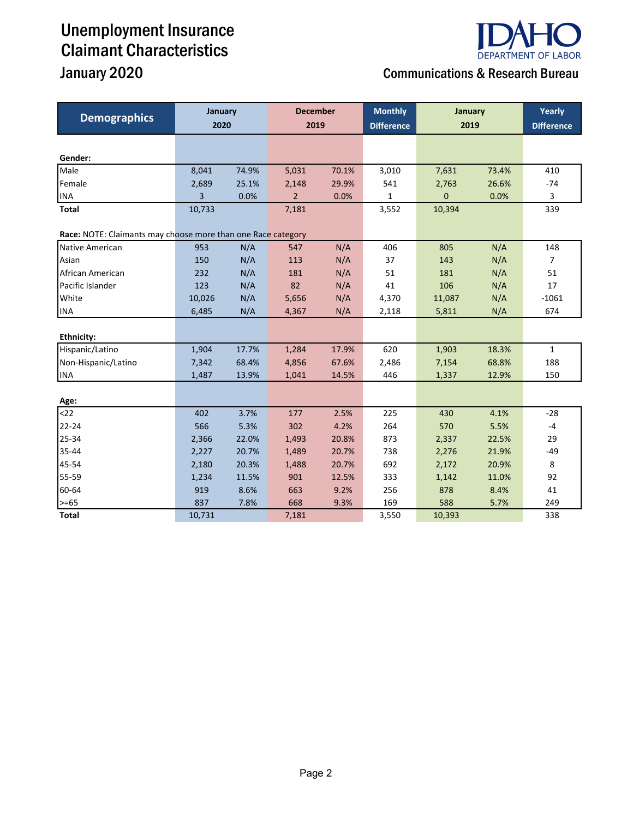# Unemployment Insurance Claimant Characteristics



## January 2020 Communications & Research Bureau

| <b>Demographics</b>                                          | January<br>2020 |       | <b>December</b><br>2019 |       | <b>Monthly</b><br><b>Difference</b> | January<br>2019 |       | Yearly<br><b>Difference</b> |
|--------------------------------------------------------------|-----------------|-------|-------------------------|-------|-------------------------------------|-----------------|-------|-----------------------------|
|                                                              |                 |       |                         |       |                                     |                 |       |                             |
| Gender:                                                      |                 |       |                         |       |                                     |                 |       |                             |
| Male                                                         | 8,041           | 74.9% | 5,031                   | 70.1% | 3,010                               | 7,631           | 73.4% | 410                         |
| Female                                                       | 2,689           | 25.1% | 2,148                   | 29.9% | 541                                 | 2,763           | 26.6% | $-74$                       |
| <b>INA</b>                                                   | 3               | 0.0%  | $\overline{2}$          | 0.0%  | $\mathbf{1}$                        | $\overline{0}$  | 0.0%  | 3                           |
| Total                                                        | 10,733          |       | 7,181                   |       | 3,552                               | 10,394          |       | 339                         |
| Race: NOTE: Claimants may choose more than one Race category |                 |       |                         |       |                                     |                 |       |                             |
| Native American                                              | 953             | N/A   | 547                     | N/A   | 406                                 | 805             | N/A   | 148                         |
| Asian                                                        | 150             | N/A   | 113                     | N/A   | 37                                  | 143             | N/A   | $\overline{7}$              |
| African American                                             | 232             | N/A   | 181                     | N/A   | 51                                  | 181             | N/A   | 51                          |
| Pacific Islander                                             | 123             | N/A   | 82                      | N/A   | 41                                  | 106             | N/A   | 17                          |
| White                                                        | 10,026          | N/A   | 5,656                   | N/A   | 4,370                               | 11,087          | N/A   | $-1061$                     |
| <b>INA</b>                                                   | 6,485           | N/A   | 4,367                   | N/A   | 2,118                               | 5,811           | N/A   | 674                         |
|                                                              |                 |       |                         |       |                                     |                 |       |                             |
| <b>Ethnicity:</b>                                            |                 |       |                         |       |                                     |                 |       |                             |
| Hispanic/Latino                                              | 1,904           | 17.7% | 1,284                   | 17.9% | 620                                 | 1,903           | 18.3% | $\mathbf{1}$                |
| Non-Hispanic/Latino                                          | 7,342           | 68.4% | 4,856                   | 67.6% | 2,486                               | 7,154           | 68.8% | 188                         |
| <b>INA</b>                                                   | 1,487           | 13.9% | 1,041                   | 14.5% | 446                                 | 1,337           | 12.9% | 150                         |
| Age:                                                         |                 |       |                         |       |                                     |                 |       |                             |
| $22$                                                         | 402             | 3.7%  | 177                     | 2.5%  | 225                                 | 430             | 4.1%  | $-28$                       |
| $22 - 24$                                                    | 566             | 5.3%  | 302                     | 4.2%  | 264                                 | 570             | 5.5%  | $-4$                        |
| 25-34                                                        | 2,366           | 22.0% | 1,493                   | 20.8% | 873                                 | 2,337           | 22.5% | 29                          |
| 35-44                                                        | 2,227           | 20.7% | 1,489                   | 20.7% | 738                                 | 2,276           | 21.9% | $-49$                       |
| 45-54                                                        | 2,180           | 20.3% | 1,488                   | 20.7% | 692                                 | 2,172           | 20.9% | 8                           |
| 55-59                                                        | 1,234           | 11.5% | 901                     | 12.5% | 333                                 | 1,142           | 11.0% | 92                          |
| 60-64                                                        | 919             | 8.6%  | 663                     | 9.2%  | 256                                 | 878             | 8.4%  | 41                          |
| $>= 65$                                                      | 837             | 7.8%  | 668                     | 9.3%  | 169                                 | 588             | 5.7%  | 249                         |
| <b>Total</b>                                                 | 10,731          |       | 7,181                   |       | 3,550                               | 10,393          |       | 338                         |